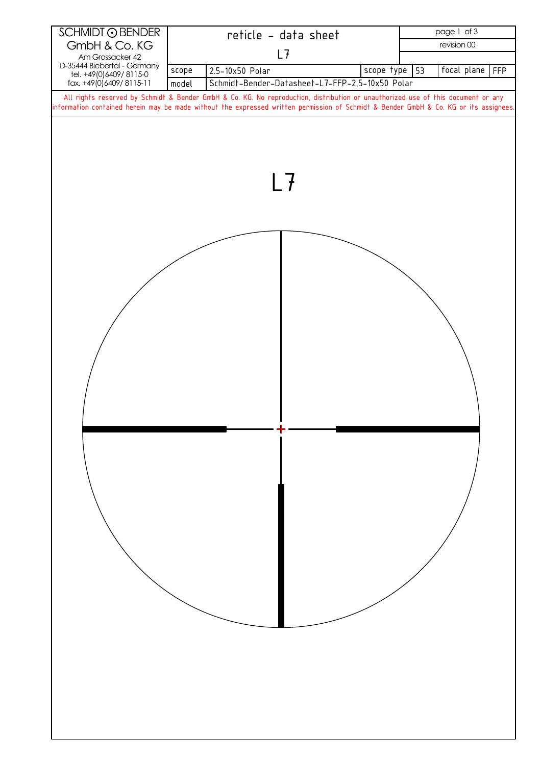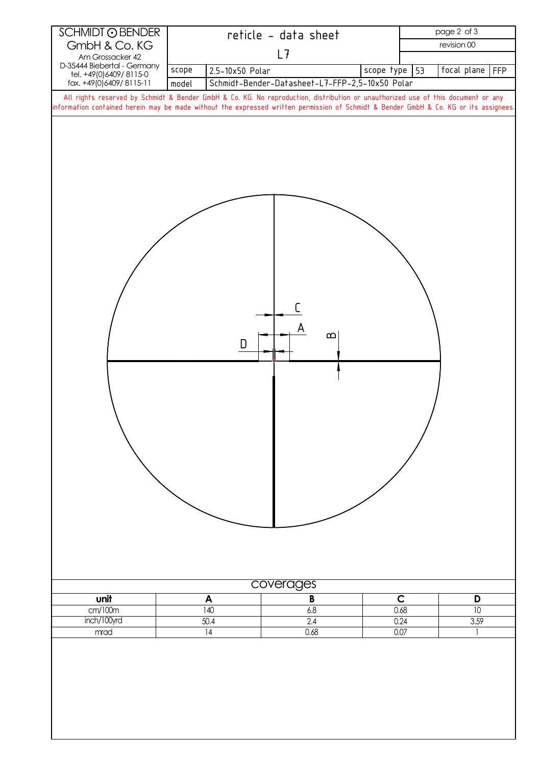